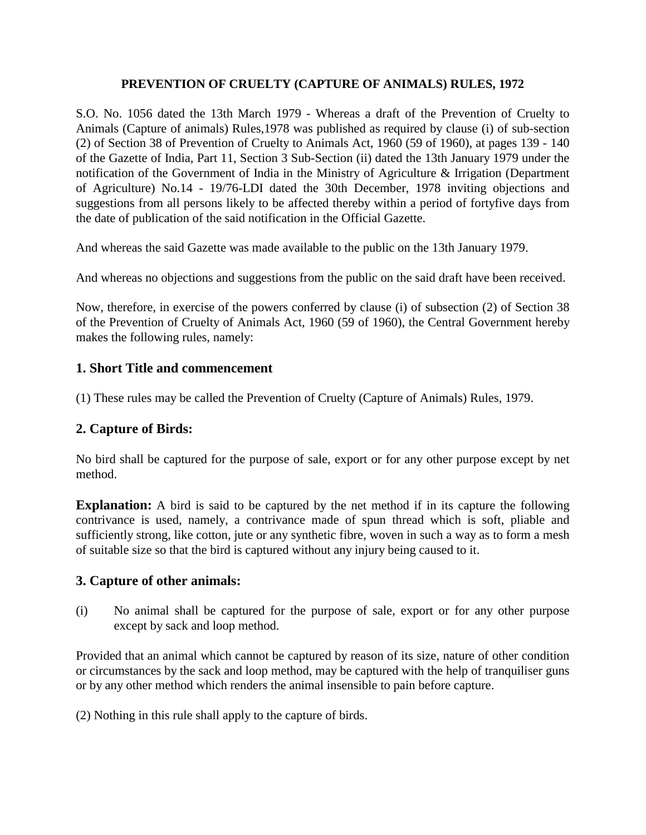## **PREVENTION OF CRUELTY (CAPTURE OF ANIMALS) RULES, 1972**

S.O. No. 1056 dated the 13th March 1979 - Whereas a draft of the Prevention of Cruelty to Animals (Capture of animals) Rules,1978 was published as required by clause (i) of sub-section (2) of Section 38 of Prevention of Cruelty to Animals Act, 1960 (59 of 1960), at pages 139 - 140 of the Gazette of India, Part 11, Section 3 Sub-Section (ii) dated the 13th January 1979 under the notification of the Government of India in the Ministry of Agriculture & Irrigation (Department of Agriculture) No.14 - 19/76-LDI dated the 30th December, 1978 inviting objections and suggestions from all persons likely to be affected thereby within a period of fortyfive days from the date of publication of the said notification in the Official Gazette.

And whereas the said Gazette was made available to the public on the 13th January 1979.

And whereas no objections and suggestions from the public on the said draft have been received.

Now, therefore, in exercise of the powers conferred by clause (i) of subsection (2) of Section 38 of the Prevention of Cruelty of Animals Act, 1960 (59 of 1960), the Central Government hereby makes the following rules, namely:

## **1. Short Title and commencement**

(1) These rules may be called the Prevention of Cruelty (Capture of Animals) Rules, 1979.

## **2. Capture of Birds:**

No bird shall be captured for the purpose of sale, export or for any other purpose except by net method.

**Explanation:** A bird is said to be captured by the net method if in its capture the following contrivance is used, namely, a contrivance made of spun thread which is soft, pliable and sufficiently strong, like cotton, jute or any synthetic fibre, woven in such a way as to form a mesh of suitable size so that the bird is captured without any injury being caused to it.

## **3. Capture of other animals:**

(i) No animal shall be captured for the purpose of sale, export or for any other purpose except by sack and loop method.

Provided that an animal which cannot be captured by reason of its size, nature of other condition or circumstances by the sack and loop method, may be captured with the help of tranquiliser guns or by any other method which renders the animal insensible to pain before capture.

(2) Nothing in this rule shall apply to the capture of birds.